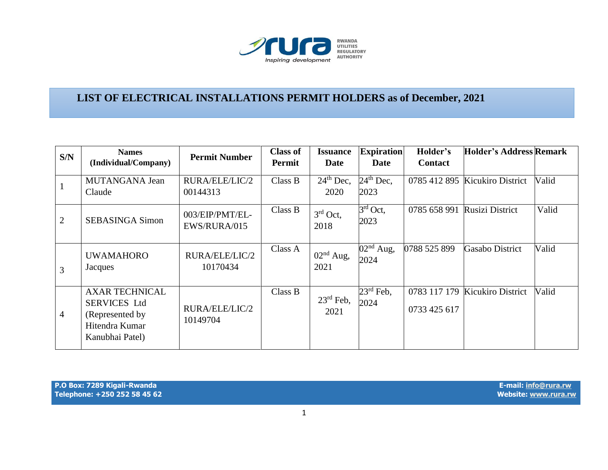

## **LIST OF ELECTRICAL INSTALLATIONS PERMIT HOLDERS as of December, 2021**

| S/N            | <b>Names</b><br>(Individual/Company)                                                                  | <b>Permit Number</b>            | <b>Class of</b><br>Permit | <b>Issuance</b><br><b>Date</b> | <b>Expiration</b><br>Date        | Holder's<br><b>Contact</b> | <b>Holder's Address Remark</b> |       |
|----------------|-------------------------------------------------------------------------------------------------------|---------------------------------|---------------------------|--------------------------------|----------------------------------|----------------------------|--------------------------------|-------|
|                | MUTANGANA Jean<br>Claude                                                                              | RURA/ELE/LIC/2<br>00144313      | Class B                   | $24th$ Dec,<br>2020            | $24th$ Dec,<br>2023              |                            | 0785 412 895 Kicukiro District | Valid |
| 2              | <b>SEBASINGA Simon</b>                                                                                | 003/EIP/PMT/EL-<br>EWS/RURA/015 | Class B                   | $3rd$ Oct,<br>2018             | $\overline{3^{rd}}$ Oct,<br>2023 | 0785 658 991               | Rusizi District                | Valid |
| 3              | <b>UWAMAHORO</b><br>Jacques                                                                           | RURA/ELE/LIC/2<br>10170434      | Class A                   | $02nd$ Aug,<br>2021            | $02nd$ Aug,<br>2024              | 0788 525 899               | <b>Gasabo District</b>         | Valid |
| $\overline{4}$ | <b>AXAR TECHNICAL</b><br><b>SERVICES Ltd</b><br>(Represented by)<br>Hitendra Kumar<br>Kanubhai Patel) | RURA/ELE/LIC/2<br>10149704      | Class B                   | $23^{\text{rd}}$ Feb,<br>2021  | $23^{\text{rd}}$ Feb,<br>2024    | 0733 425 617               | 0783 117 179 Kicukiro District | Valid |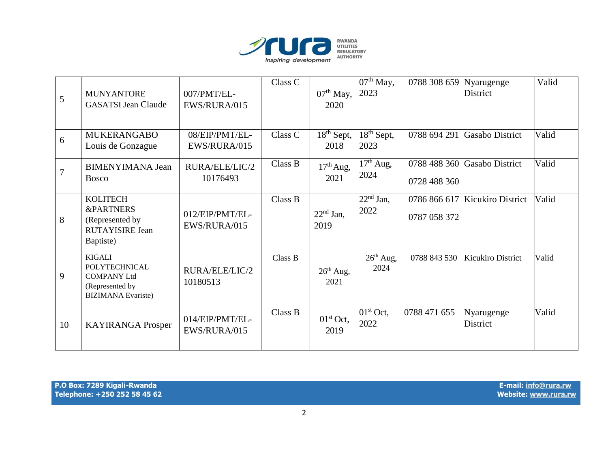

| 5              | <b>MUNYANTORE</b><br><b>GASATSI Jean Claude</b>                                                             | 007/PMT/EL-<br>EWS/RURA/015     | Class C | $07th$ May,<br>2020                         | $07th$ May,<br>2023                        | 0788 308 659                 | Nyarugenge<br><b>District</b>  | Valid |
|----------------|-------------------------------------------------------------------------------------------------------------|---------------------------------|---------|---------------------------------------------|--------------------------------------------|------------------------------|--------------------------------|-------|
| 6              | <b>MUKERANGABO</b><br>Louis de Gonzague                                                                     | 08/EIP/PMT/EL-<br>EWS/RURA/015  | Class C | $\overline{18}$ <sup>th</sup> Sept,<br>2018 | $18th$ Sept,<br>2023                       | 0788 694 291                 | Gasabo District                | Valid |
| $\overline{7}$ | <b>BIMENYIMANA Jean</b><br><b>Bosco</b>                                                                     | RURA/ELE/LIC/2<br>10176493      | Class B | $17th$ Aug,<br>2021                         | $17th$ Aug,<br>2024                        | 0788 488 360<br>0728 488 360 | <b>Gasabo District</b>         | Valid |
| 8              | <b>KOLITECH</b><br><b>&amp;PARTNERS</b><br>(Represented by<br><b>RUTAYISIRE Jean</b><br>Baptiste)           | 012/EIP/PMT/EL-<br>EWS/RURA/015 | Class B | $22nd$ Jan,<br>2019                         | $\overline{22}$ <sup>nd</sup> Jan,<br>2022 | 0787 058 372                 | 0786 866 617 Kicukiro District | Valid |
| 9              | <b>KIGALI</b><br><b>POLYTECHNICAL</b><br><b>COMPANY Ltd</b><br>(Represented by<br><b>BIZIMANA</b> Evariste) | RURA/ELE/LIC/2<br>10180513      | Class B | $26th$ Aug,<br>2021                         | $26th$ Aug,<br>2024                        | 0788 843 530                 | <b>Kicukiro District</b>       | Valid |
| 10             | <b>KAYIRANGA Prosper</b>                                                                                    | 014/EIP/PMT/EL-<br>EWS/RURA/015 | Class B | $01st$ Oct,<br>2019                         | $01st$ Oct,<br>2022                        | 0788 471 655                 | Nyarugenge<br>District         | Valid |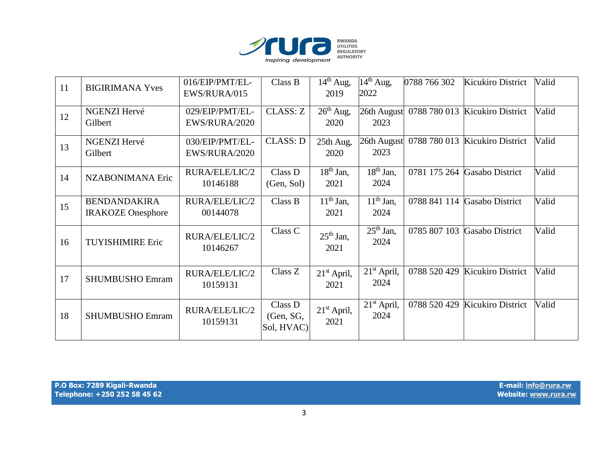

| 11 | <b>BIGIRIMANA Yves</b>                          | 016/EIP/PMT/EL-<br>EWS/RURA/015  | Class B                            | $14th$ Aug,<br>2019   | $14th$ Aug,<br>2022                        | 0788 766 302 | <b>Kicukiro District</b>       | Valid |
|----|-------------------------------------------------|----------------------------------|------------------------------------|-----------------------|--------------------------------------------|--------------|--------------------------------|-------|
| 12 | <b>NGENZI Hervé</b><br>Gilbert                  | 029/EIP/PMT/EL-<br>EWS/RURA/2020 | CLASS: Z                           | $26th$ Aug,<br>2020   | 26th August<br>2023                        |              | 0788 780 013 Kicukiro District | Valid |
| 13 | NGENZI Hervé<br>Gilbert                         | 030/EIP/PMT/EL-<br>EWS/RURA/2020 | <b>CLASS: D</b>                    | 25th Aug,<br>2020     | 26th August<br>2023                        |              | 0788 780 013 Kicukiro District | Valid |
| 14 | NZABONIMANA Eric                                | RURA/ELE/LIC/2<br>10146188       | Class D<br>(Gen, Sol)              | $18th$ Jan,<br>2021   | $18th$ Jan,<br>2024                        |              | 0781 175 264 Gasabo District   | Valid |
| 15 | <b>BENDANDAKIRA</b><br><b>IRAKOZE</b> Onesphore | RURA/ELE/LIC/2<br>00144078       | Class B                            | $11th$ Jan,<br>2021   | $11th$ Jan,<br>2024                        |              | 0788 841 114 Gasabo District   | Valid |
| 16 | <b>TUYISHIMIRE Eric</b>                         | RURA/ELE/LIC/2<br>10146267       | Class C                            | $25th$ Jan,<br>2021   | $\overline{25}$ <sup>th</sup> Jan,<br>2024 | 0785 807 103 | <b>Gasabo District</b>         | Valid |
| 17 | <b>SHUMBUSHO Emram</b>                          | RURA/ELE/LIC/2<br>10159131       | Class Z                            | $21st$ April,<br>2021 | $21st$ April,<br>2024                      |              | 0788 520 429 Kicukiro District | Valid |
| 18 | <b>SHUMBUSHO Emram</b>                          | RURA/ELE/LIC/2<br>10159131       | Class D<br>(Gen, SG,<br>Sol, HVAC) | $21st$ April,<br>2021 | 21 <sup>st</sup> April,<br>2024            | 0788 520 429 | Kicukiro District              | Valid |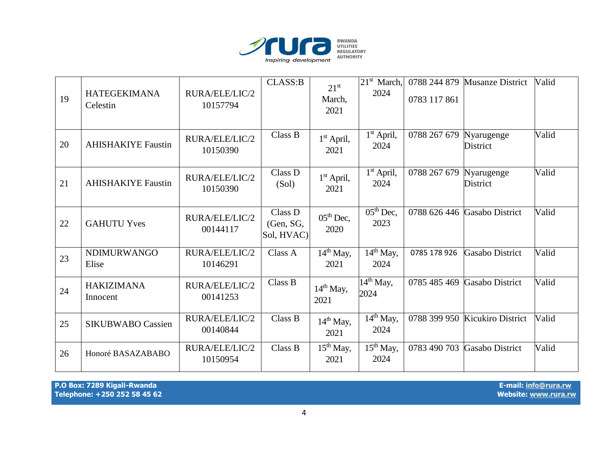

| 19 | <b>HATEGEKIMANA</b><br>Celestin | RURA/ELE/LIC/2<br>10157794 | CLASS:B                            | $21^{st}$<br>March,<br>2021   | $21st$ March,<br>2024                    | 0783 117 861 | 0788 244 879 Musanze District  | Valid |
|----|---------------------------------|----------------------------|------------------------------------|-------------------------------|------------------------------------------|--------------|--------------------------------|-------|
| 20 | <b>AHISHAKIYE Faustin</b>       | RURA/ELE/LIC/2<br>10150390 | Class B                            | $1st$ April,<br>2021          | $1st$ April,<br>2024                     | 0788 267 679 | Nyarugenge<br>District         | Valid |
| 21 | <b>AHISHAKIYE Faustin</b>       | RURA/ELE/LIC/2<br>10150390 | Class D<br>(Sol)                   | $1st$ April,<br>2021          | $1st$ April,<br>2024                     | 0788 267 679 | Nyarugenge<br><b>District</b>  | Valid |
| 22 | <b>GAHUTU Yves</b>              | RURA/ELE/LIC/2<br>00144117 | Class D<br>(Gen, SG,<br>Sol, HVAC) | $05th$ Dec,<br>2020           | $05th$ Dec,<br>2023                      | 0788 626 446 | Gasabo District                | Valid |
| 23 | <b>NDIMURWANGO</b><br>Elise     | RURA/ELE/LIC/2<br>10146291 | Class A                            | $14th$ May,<br>2021           | $14th$ May,<br>2024                      | 0785 178 926 | <b>Gasabo District</b>         | Valid |
| 24 | <b>HAKIZIMANA</b><br>Innocent   | RURA/ELE/LIC/2<br>00141253 | Class B                            | $14th$ May,<br>2021           | $14^{\text{th}}$ May,<br>2024            | 0785 485 469 | <b>Gasabo District</b>         | Valid |
| 25 | <b>SIKUBWABO Cassien</b>        | RURA/ELE/LIC/2<br>00140844 | Class B                            | 14 <sup>th</sup> May,<br>2021 | $\overline{14}^{\text{th}}$ May,<br>2024 |              | 0788 399 950 Kicukiro District | Valid |
| 26 | Honoré BASAZABABO               | RURA/ELE/LIC/2<br>10150954 | Class B                            | $15th$ May,<br>2021           | $15th$ May,<br>2024                      | 0783 490 703 | Gasabo District                | Valid |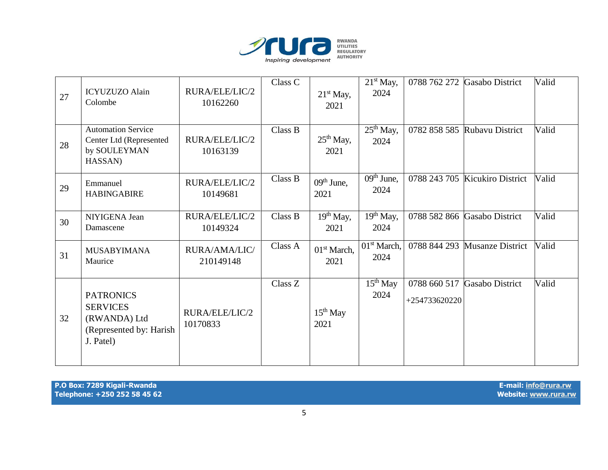

| 27 | <b>ICYUZUZO</b> Alain<br>Colombe                                                             | RURA/ELE/LIC/2<br>10162260 | Class C | $21st$ May,<br>2021             | $21st$ May,<br>2024                        | 0788 762 272                  | Gasabo District                | Valid |
|----|----------------------------------------------------------------------------------------------|----------------------------|---------|---------------------------------|--------------------------------------------|-------------------------------|--------------------------------|-------|
| 28 | <b>Automation Service</b><br>Center Ltd (Represented<br>by SOULEYMAN<br>HASSAN)              | RURA/ELE/LIC/2<br>10163139 | Class B | $25th$ May,<br>2021             | $\overline{25}$ <sup>th</sup> May,<br>2024 |                               | 0782 858 585 Rubavu District   | Valid |
| 29 | Emmanuel<br><b>HABINGABIRE</b>                                                               | RURA/ELE/LIC/2<br>10149681 | Class B | $09th$ June,<br>2021            | $09th$ June,<br>2024                       |                               | 0788 243 705 Kicukiro District | Valid |
| 30 | NIYIGENA Jean<br>Damascene                                                                   | RURA/ELE/LIC/2<br>10149324 | Class B | $19th$ May,<br>2021             | $19th$ May,<br>2024                        |                               | 0788 582 866 Gasabo District   | Valid |
| 31 | <b>MUSABYIMANA</b><br>Maurice                                                                | RURA/AMA/LIC/<br>210149148 | Class A | 01 <sup>st</sup> March,<br>2021 | 01 <sup>st</sup> March,<br>2024            |                               | 0788 844 293 Musanze District  | Valid |
| 32 | <b>PATRONICS</b><br><b>SERVICES</b><br>(RWANDA) Ltd<br>(Represented by: Harish)<br>J. Patel) | RURA/ELE/LIC/2<br>10170833 | Class Z | $15th$ May<br>2021              | $15th$ May<br>2024                         | 0788 660 517<br>+254733620220 | Gasabo District                | Valid |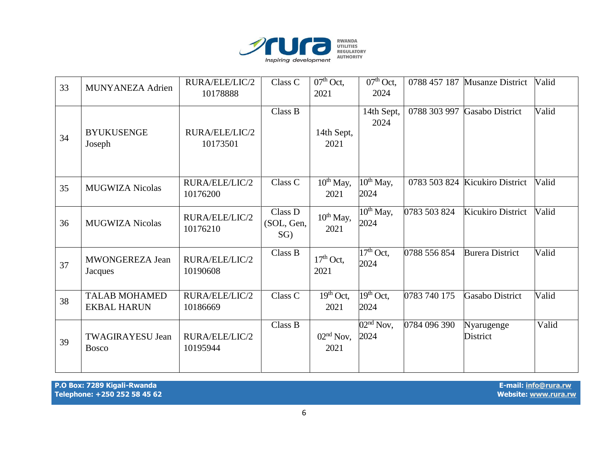

| 33 | MUNYANEZA Adrien                           | RURA/ELE/LIC/2<br>10178888 | Class C                         | $07th$ Oct,<br>2021               | $07th$ Oct,<br>2024                        |              | 0788 457 187 Musanze District  | Valid |
|----|--------------------------------------------|----------------------------|---------------------------------|-----------------------------------|--------------------------------------------|--------------|--------------------------------|-------|
| 34 | <b>BYUKUSENGE</b><br>Joseph                | RURA/ELE/LIC/2<br>10173501 | Class B                         | 14th Sept,<br>2021                | 14th Sept,<br>2024                         | 0788 303 997 | <b>Gasabo District</b>         | Valid |
| 35 | <b>MUGWIZA Nicolas</b>                     | RURA/ELE/LIC/2<br>10176200 | Class C                         | $10^{th}$ May,<br>2021            | $10^{th}$ May,<br>2024                     |              | 0783 503 824 Kicukiro District | Valid |
| 36 | <b>MUGWIZA Nicolas</b>                     | RURA/ELE/LIC/2<br>10176210 | Class D<br>(SOL, Gen,<br>$SG$ ) | $10^{th}$ May,<br>2021            | $10^{th}$ May,<br>2024                     | 0783 503 824 | Kicukiro District              | Valid |
| 37 | MWONGEREZA Jean<br>Jacques                 | RURA/ELE/LIC/2<br>10190608 | Class B                         | $17th$ Oct,<br>2021               | $\overline{17}$ <sup>th</sup> Oct,<br>2024 | 0788 556 854 | <b>Burera District</b>         | Valid |
| 38 | <b>TALAB MOHAMED</b><br><b>EKBAL HARUN</b> | RURA/ELE/LIC/2<br>10186669 | Class C                         | $\overline{19^{th}}$ Oct,<br>2021 | $19th$ Oct,<br>2024                        | 0783 740 175 | <b>Gasabo District</b>         | Valid |
| 39 | <b>TWAGIRAYESU Jean</b><br><b>Bosco</b>    | RURA/ELE/LIC/2<br>10195944 | Class B                         | $02nd$ Nov,<br>2021               | $\overline{02^{nd}}$ Nov,<br>2024          | 0784 096 390 | Nyarugenge<br>District         | Valid |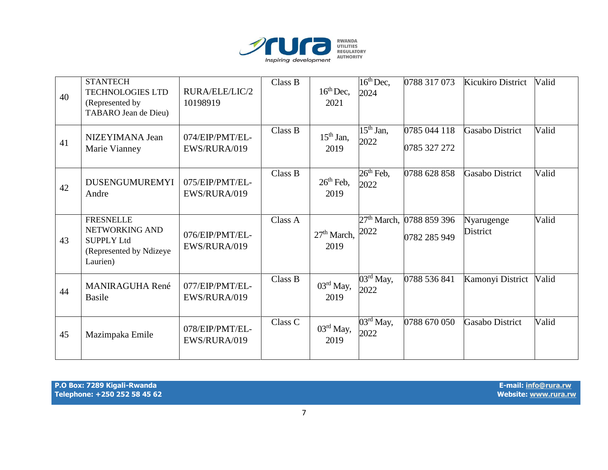

| 40 | <b>STANTECH</b><br><b>TECHNOLOGIES LTD</b><br>(Represented by<br>TABARO Jean de Dieu)          | RURA/ELE/LIC/2<br>10198919      | Class B | $16^{th}$ Dec,<br>2021          | $16th$ Dec,<br>2024                        | 0788 317 073                 | <b>Kicukiro District</b> | Valid |
|----|------------------------------------------------------------------------------------------------|---------------------------------|---------|---------------------------------|--------------------------------------------|------------------------------|--------------------------|-------|
| 41 | NIZEYIMANA Jean<br>Marie Vianney                                                               | 074/EIP/PMT/EL-<br>EWS/RURA/019 | Class B | $15th$ Jan,<br>2019             | $\overline{15}$ <sup>th</sup> Jan,<br>2022 | 0785 044 118<br>0785 327 272 | Gasabo District          | Valid |
| 42 | <b>DUSENGUMUREMYI</b><br>Andre                                                                 | 075/EIP/PMT/EL-<br>EWS/RURA/019 | Class B | $26th$ Feb,<br>2019             | $26th$ Feb,<br>2022                        | 0788 628 858                 | <b>Gasabo District</b>   | Valid |
| 43 | <b>FRESNELLE</b><br>NETWORKING AND<br><b>SUPPLY Ltd</b><br>(Represented by Ndizeye<br>Laurien) | 076/EIP/PMT/EL-<br>EWS/RURA/019 | Class A | 27 <sup>th</sup> March,<br>2019 | 27 <sup>th</sup> March,<br>2022            | 0788 859 396<br>0782 285 949 | Nyarugenge<br>District   | Valid |
| 44 | <b>MANIRAGUHA René</b><br><b>Basile</b>                                                        | 077/EIP/PMT/EL-<br>EWS/RURA/019 | Class B | $03rd$ May,<br>2019             | $\overline{03}$ <sup>rd</sup> May,<br>2022 | 0788 536 841                 | Kamonyi District         | Valid |
| 45 | Mazimpaka Emile                                                                                | 078/EIP/PMT/EL-<br>EWS/RURA/019 | Class C | $03rd$ May,<br>2019             | $\overline{03}$ <sup>rd</sup> May,<br>2022 | 0788 670 050                 | Gasabo District          | Valid |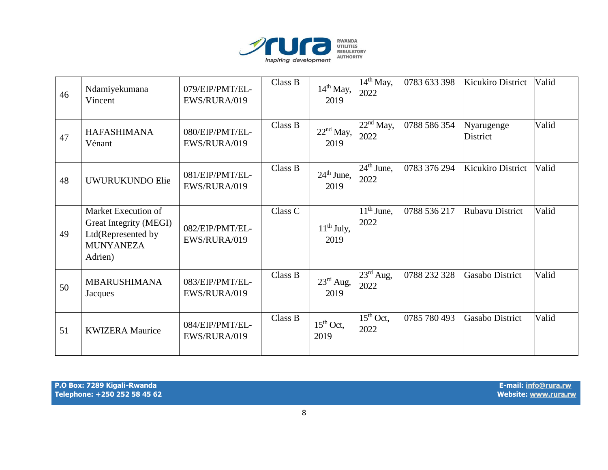

| 46 | Ndamiyekumana<br>Vincent                                                                           | 079/EIP/PMT/EL-<br>EWS/RURA/019 | Class B | $14th$ May,<br>2019     | $\overline{1}4^{\text{th}}$ May,<br>2022  | 0783 633 398 | <b>Kicukiro District</b> | Valid |
|----|----------------------------------------------------------------------------------------------------|---------------------------------|---------|-------------------------|-------------------------------------------|--------------|--------------------------|-------|
| 47 | <b>HAFASHIMANA</b><br>Vénant                                                                       | 080/EIP/PMT/EL-<br>EWS/RURA/019 | Class B | $22nd$ May,<br>2019     | $22nd$ May,<br>2022                       | 0788 586 354 | Nyarugenge<br>District   | Valid |
| 48 | <b>UWURUKUNDO Elie</b>                                                                             | 081/EIP/PMT/EL-<br>EWS/RURA/019 | Class B | $24th$ June,<br>2019    | $24th$ June,<br>2022                      | 0783 376 294 | <b>Kicukiro District</b> | Valid |
| 49 | Market Execution of<br>Great Integrity (MEGI)<br>Ltd(Represented by<br><b>MUNYANEZA</b><br>Adrien) | 082/EIP/PMT/EL-<br>EWS/RURA/019 | Class C | $11^{th}$ July,<br>2019 | $\overline{1}1^{\text{th}}$ June,<br>2022 | 0788 536 217 | <b>Rubavu District</b>   | Valid |
| 50 | <b>MBARUSHIMANA</b><br>Jacques                                                                     | 083/EIP/PMT/EL-<br>EWS/RURA/019 | Class B | $23rd$ Aug,<br>2019     | $23^{\text{rd}}$ Aug,<br>2022             | 0788 232 328 | <b>Gasabo District</b>   | Valid |
| 51 | <b>KWIZERA Maurice</b>                                                                             | 084/EIP/PMT/EL-<br>EWS/RURA/019 | Class B | $15th$ Oct,<br>2019     | $15th$ Oct,<br>2022                       | 0785 780 493 | <b>Gasabo District</b>   | Valid |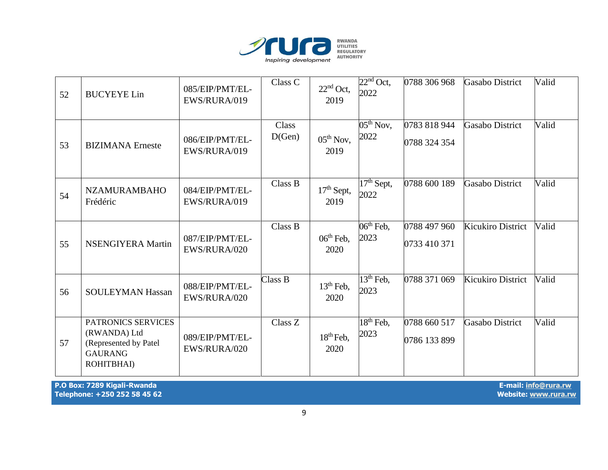

| 52 | <b>BUCYEYE Lin</b>                                                                          | 085/EIP/PMT/EL-<br>EWS/RURA/019 | Class C         | $22nd$ Oct,<br>2019  | $22nd$ Oct,<br>2022  | 0788 306 968                 | <b>Gasabo District</b>   | Valid |
|----|---------------------------------------------------------------------------------------------|---------------------------------|-----------------|----------------------|----------------------|------------------------------|--------------------------|-------|
| 53 | <b>BIZIMANA</b> Erneste                                                                     | 086/EIP/PMT/EL-<br>EWS/RURA/019 | Class<br>D(Gen) | $05th$ Nov,<br>2019  | $05th$ Nov,<br>2022  | 0783 818 944<br>0788 324 354 | <b>Gasabo District</b>   | Valid |
| 54 | <b>NZAMURAMBAHO</b><br>Frédéric                                                             | 084/EIP/PMT/EL-<br>EWS/RURA/019 | Class B         | $17th$ Sept,<br>2019 | $17th$ Sept,<br>2022 | 0788 600 189                 | <b>Gasabo District</b>   | Valid |
| 55 | <b>NSENGIYERA Martin</b>                                                                    | 087/EIP/PMT/EL-<br>EWS/RURA/020 | Class B         | $06th$ Feb,<br>2020  | $06th$ Feb,<br>2023  | 0788 497 960<br>0733 410 371 | <b>Kicukiro District</b> | Valid |
| 56 | <b>SOULEYMAN Hassan</b>                                                                     | 088/EIP/PMT/EL-<br>EWS/RURA/020 | Class B         | $13th$ Feb,<br>2020  | $13th$ Feb,<br>2023  | 0788 371 069                 | <b>Kicukiro District</b> | Valid |
| 57 | PATRONICS SERVICES<br>(RWANDA) Ltd<br>(Represented by Patel<br><b>GAURANG</b><br>ROHITBHAI) | 089/EIP/PMT/EL-<br>EWS/RURA/020 | Class Z         | $18th$ Feb,<br>2020  | $18th$ Feb,<br>2023  | 0788 660 517<br>0786 133 899 | <b>Gasabo District</b>   | Valid |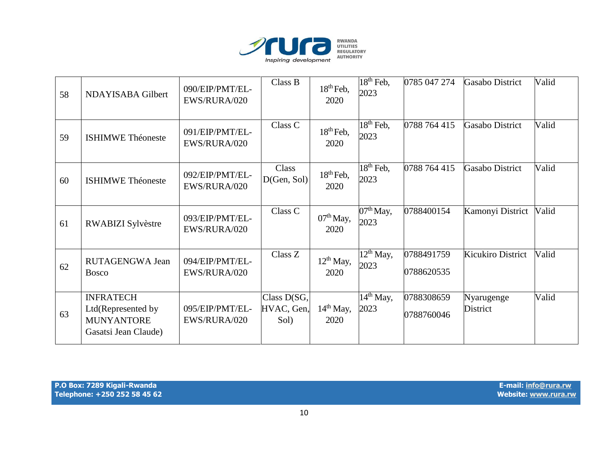

| 58 | NDAYISABA Gilbert                                                                   | 090/EIP/PMT/EL-<br>EWS/RURA/020 | Class B                             | $18th$ Feb,<br>2020    | $18th$ Feb,<br>2023                        | 0785 047 274             | Gasabo District          | Valid |
|----|-------------------------------------------------------------------------------------|---------------------------------|-------------------------------------|------------------------|--------------------------------------------|--------------------------|--------------------------|-------|
| 59 | <b>ISHIMWE Théoneste</b>                                                            | 091/EIP/PMT/EL-<br>EWS/RURA/020 | Class C                             | $18th$ Feb,<br>2020    | $18th$ Feb,<br>2023                        | 0788 764 415             | <b>Gasabo District</b>   | Valid |
| 60 | <b>ISHIMWE Théoneste</b>                                                            | 092/EIP/PMT/EL-<br>EWS/RURA/020 | Class<br>D(Gen, Sol)                | $18th$ Feb,<br>2020    | $18^{\text{th}}$ Feb,<br>2023              | 0788 764 415             | <b>Gasabo District</b>   | Valid |
| 61 | RWABIZI Sylvèstre                                                                   | 093/EIP/PMT/EL-<br>EWS/RURA/020 | Class C                             | $07th$ May,<br>2020    | $07th$ May,<br>2023                        | 0788400154               | Kamonyi District         | Valid |
| 62 | RUTAGENGWA Jean<br><b>Bosco</b>                                                     | 094/EIP/PMT/EL-<br>EWS/RURA/020 | Class Z                             | $12^{th}$ May,<br>2020 | $\overline{12}$ <sup>th</sup> May,<br>2023 | 0788491759<br>0788620535 | <b>Kicukiro District</b> | Valid |
| 63 | <b>INFRATECH</b><br>Ltd(Represented by<br><b>MUNYANTORE</b><br>Gasatsi Jean Claude) | 095/EIP/PMT/EL-<br>EWS/RURA/020 | Class $D(SG,$<br>HVAC, Gen,<br>Sol) | $14th$ May,<br>2020    | $14th$ May,<br>2023                        | 0788308659<br>0788760046 | Nyarugenge<br>District   | Valid |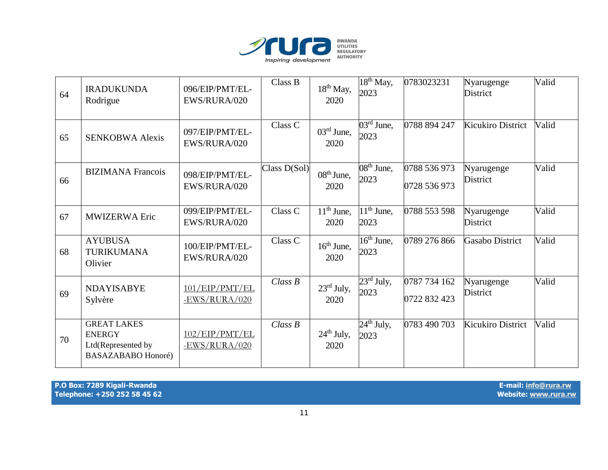

| 64 | <b>IRADUKUNDA</b><br>Rodrigue                                                          | 096/EIP/PMT/EL-<br>EWS/RURA/020   | Class B        | $18th$ May,<br>2020            | $18th$ May,<br>2023                         | 0783023231                   | Nyarugenge<br><b>District</b> | Valid |
|----|----------------------------------------------------------------------------------------|-----------------------------------|----------------|--------------------------------|---------------------------------------------|------------------------------|-------------------------------|-------|
| 65 | <b>SENKOBWA Alexis</b>                                                                 | 097/EIP/PMT/EL-<br>EWS/RURA/020   | Class C        | $03^{\text{rd}}$ June,<br>2020 | $\overline{03}$ <sup>rd</sup> June,<br>2023 | 0788 894 247                 | <b>Kicukiro District</b>      | Valid |
| 66 | <b>BIZIMANA</b> Francois                                                               | 098/EIP/PMT/EL-<br>EWS/RURA/020   | Class $D(Sol)$ | $08th$ June,<br>2020           | $\overline{08^{th}}$ June,<br>2023          | 0788 536 973<br>0728 536 973 | Nyarugenge<br><b>District</b> | Valid |
| 67 | <b>MWIZERWA Eric</b>                                                                   | 099/EIP/PMT/EL-<br>EWS/RURA/020   | Class C        | $11th$ June,<br>2020           | $\overline{11}$ <sup>th</sup> June,<br>2023 | 0788 553 598                 | Nyarugenge<br><b>District</b> | Valid |
| 68 | <b>AYUBUSA</b><br><b>TURIKUMANA</b><br>Olivier                                         | 100/EIP/PMT/EL-<br>EWS/RURA/020   | Class C        | $16th$ June,<br>2020           | $16^{\text{th}}$ June,<br>2023              | 0789 276 866                 | <b>Gasabo District</b>        | Valid |
| 69 | <b>NDAYISABYE</b><br>Sylvère                                                           | 101/EP/PMT/EL<br>$-EWS/RURA/020$  | Class B        | $23^{\text{rd}}$ July,<br>2020 | $23^{\text{rd}}$ July,<br>2023              | 0787 734 162<br>0722 832 423 | Nyarugenge<br><b>District</b> | Valid |
| 70 | <b>GREAT LAKES</b><br><b>ENERGY</b><br>Ltd(Represented by<br><b>BASAZABABO Honoré)</b> | 102/EIP/PMT/EL<br>$-EWS/RURA/020$ | Class B        | $24th$ July,<br>2020           | $24th$ July,<br>2023                        | 0783 490 703                 | <b>Kicukiro District</b>      | Valid |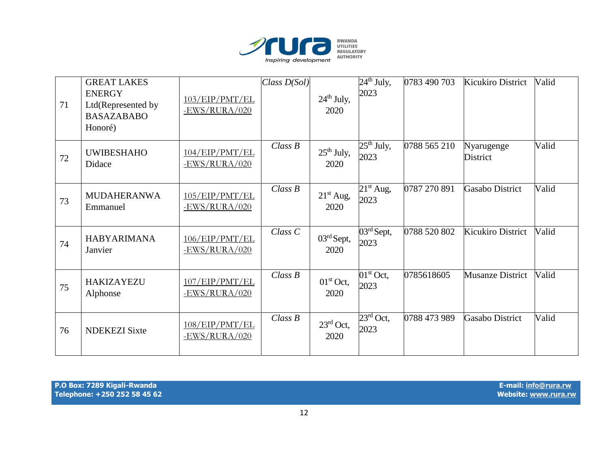

| 71 | <b>GREAT LAKES</b><br><b>ENERGY</b><br>Ltd(Represented by<br><b>BASAZABABO</b><br>Honoré) | 103/EP/PMT/EL<br>$-EWS/RURA/020$ | Class $D(Sol)$ | $24th$ July,<br>2020           | $24th$ July,<br>2023           | 0783 490 703 | <b>Kicukiro District</b> | Valid |
|----|-------------------------------------------------------------------------------------------|----------------------------------|----------------|--------------------------------|--------------------------------|--------------|--------------------------|-------|
| 72 | <b>UWIBESHAHO</b><br>Didace                                                               | 104/EP/PMT/EL<br>$-EWS/RURA/020$ | Class B        | $25th$ July,<br>2020           | $25th$ July,<br>2023           | 0788 565 210 | Nyarugenge<br>District   | Valid |
| 73 | <b>MUDAHERANWA</b><br>Emmanuel                                                            | 105/EP/PMT/EL<br>$-EWS/RURA/020$ | Class B        | $21st$ Aug,<br>2020            | $21st$ Aug,<br>2023            | 0787 270 891 | <b>Gasabo District</b>   | Valid |
| 74 | <b>HABYARIMANA</b><br>Janvier                                                             | 106/EP/PMT/EL<br>$-EWS/RURA/020$ | $Class\ C$     | $03^{\text{rd}}$ Sept,<br>2020 | $03^{\text{rd}}$ Sept,<br>2023 | 0788 520 802 | Kicukiro District        | Valid |
| 75 | <b>HAKIZAYEZU</b><br>Alphonse                                                             | 107/EP/PMT/EL<br>$-EWS/RURA/020$ | Class B        | $01st$ Oct,<br>2020            | $01st$ Oct,<br>2023            | 0785618605   | <b>Musanze District</b>  | Valid |
| 76 | <b>NDEKEZI Sixte</b>                                                                      | 108/EP/PMT/EL<br>$-EWS/RURA/020$ | Class B        | $23^{\text{rd}}$ Oct,<br>2020  | $23^{\text{rd}}$ Oct,<br>2023  | 0788 473 989 | Gasabo District          | Valid |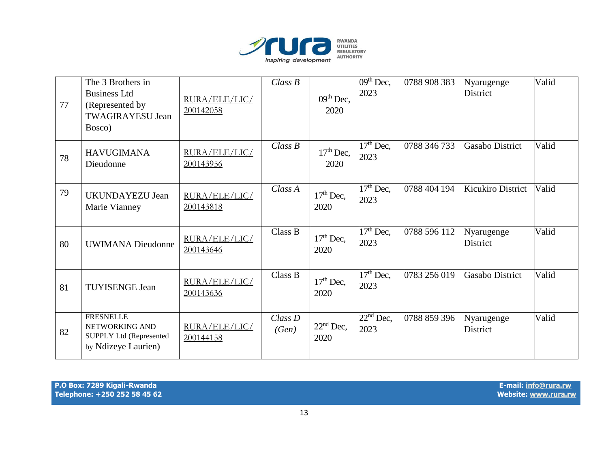

| 77 | The 3 Brothers in<br><b>Business Ltd</b><br>(Represented by<br><b>TWAGIRAYESU Jean</b><br>Bosco) | RURA/ELE/LIC/<br>200142058 | Class B             | $09th$ Dec,<br>2020 | $09th$ Dec,<br>2023                        | 0788 908 383 | Nyarugenge<br><b>District</b> | Valid |
|----|--------------------------------------------------------------------------------------------------|----------------------------|---------------------|---------------------|--------------------------------------------|--------------|-------------------------------|-------|
| 78 | <b>HAVUGIMANA</b><br>Dieudonne                                                                   | RURA/ELE/LIC/<br>200143956 | Class B             | $17th$ Dec,<br>2020 | $17th$ Dec,<br>2023                        | 0788 346 733 | <b>Gasabo District</b>        | Valid |
| 79 | <b>UKUNDAYEZU Jean</b><br>Marie Vianney                                                          | RURA/ELE/LIC/<br>200143818 | Class A             | $17th$ Dec,<br>2020 | $\overline{17}$ <sup>th</sup> Dec,<br>2023 | 0788 404 194 | <b>Kicukiro District</b>      | Valid |
| 80 | <b>UWIMANA Dieudonne</b>                                                                         | RURA/ELE/LIC/<br>200143646 | Class B             | $17th$ Dec,<br>2020 | $17th$ Dec,<br>2023                        | 0788 596 112 | Nyarugenge<br><b>District</b> | Valid |
| 81 | <b>TUYISENGE Jean</b>                                                                            | RURA/ELE/LIC/<br>200143636 | Class B             | $17th$ Dec,<br>2020 | $\overline{17}$ <sup>th</sup> Dec,<br>2023 | 0783 256 019 | Gasabo District               | Valid |
| 82 | <b>FRESNELLE</b><br>NETWORKING AND<br><b>SUPPLY Ltd (Represented</b><br>by Ndizeye Laurien)      | RURA/ELE/LIC/<br>200144158 | $Class\,D$<br>(Gen) | $22nd$ Dec,<br>2020 | $22nd$ Dec,<br>2023                        | 0788 859 396 | Nyarugenge<br><b>District</b> | Valid |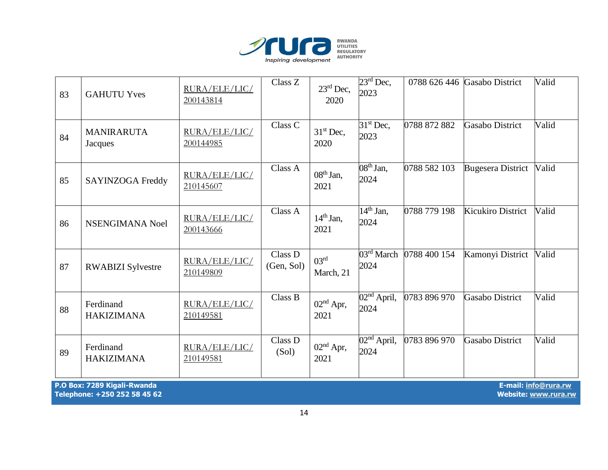

| 83                                                                                                          | <b>GAHUTU Yves</b>             | RURA/ELE/LIC/<br>200143814 | Class Z               | $23^{\text{rd}}$ Dec,<br>2020 | $23^{\text{rd}}$ Dec,<br>2023       |              | 0788 626 446 Gasabo District | Valid |
|-------------------------------------------------------------------------------------------------------------|--------------------------------|----------------------------|-----------------------|-------------------------------|-------------------------------------|--------------|------------------------------|-------|
| 84                                                                                                          | <b>MANIRARUTA</b><br>Jacques   | RURA/ELE/LIC/<br>200144985 | Class C               | $31st$ Dec,<br>2020           | $31st$ Dec,<br>2023                 | 0788 872 882 | <b>Gasabo District</b>       | Valid |
| 85                                                                                                          | <b>SAYINZOGA Freddy</b>        | RURA/ELE/LIC/<br>210145607 | Class A               | $08th$ Jan,<br>2021           | $08th$ Jan,<br>2024                 | 0788 582 103 | <b>Bugesera District</b>     | Valid |
| 86                                                                                                          | NSENGIMANA Noel                | RURA/ELE/LIC/<br>200143666 | Class A               | $14th$ Jan,<br>2021           | $14th$ Jan,<br>2024                 | 0788 779 198 | Kicukiro District            | Valid |
| 87                                                                                                          | <b>RWABIZI</b> Sylvestre       | RURA/ELE/LIC/<br>210149809 | Class D<br>(Gen, Sol) | 03 <sup>rd</sup><br>March, 21 | $\overline{03^{rd}}$ March<br>2024  | 0788 400 154 | Kamonyi District             | Valid |
| 88                                                                                                          | Ferdinand<br><b>HAKIZIMANA</b> | RURA/ELE/LIC/<br>210149581 | Class B               | $02nd$ Apr,<br>2021           | $02nd$ April,<br>2024               | 0783 896 970 | <b>Gasabo District</b>       | Valid |
| 89                                                                                                          | Ferdinand<br><b>HAKIZIMANA</b> | RURA/ELE/LIC/<br>210149581 | Class D<br>(Sol)      | $02nd$ Apr,<br>2021           | $\overline{02^{nd}}$ April,<br>2024 | 0783 896 970 | <b>Gasabo District</b>       | Valid |
| P.O Box: 7289 Kigali-Rwanda<br>E-mail: info@rura.rw<br>Telephone: +250 252 58 45 62<br>Website: www.rura.rw |                                |                            |                       |                               |                                     |              |                              |       |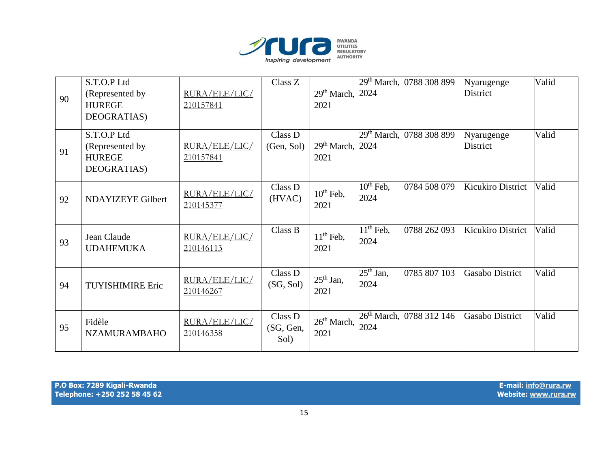

|    | S.T.O.P Ltd                     |                            | Class Z    |                              | 29 <sup>th</sup> March, | 0788 308 899 | Nyarugenge               | Valid |
|----|---------------------------------|----------------------------|------------|------------------------------|-------------------------|--------------|--------------------------|-------|
| 90 | (Represented by                 | RURA/ELE/LIC/              |            | 29th March, 2024             |                         |              | <b>District</b>          |       |
|    | <b>HUREGE</b>                   | 210157841                  |            | 2021                         |                         |              |                          |       |
|    | DEOGRATIAS)                     |                            |            |                              |                         |              |                          |       |
|    | S.T.O.P Ltd                     |                            | Class D    |                              | $29th$ March,           | 0788 308 899 | Nyarugenge               | Valid |
|    | (Represented by                 | RURA/ELE/LIC/              | (Gen, Sol) | 29 <sup>th</sup> March, 2024 |                         |              | District                 |       |
| 91 | <b>HUREGE</b>                   | 210157841                  |            | 2021                         |                         |              |                          |       |
|    | DEOGRATIAS)                     |                            |            |                              |                         |              |                          |       |
|    |                                 |                            |            |                              |                         |              |                          |       |
|    |                                 | RURA/ELE/LIC/              | Class D    | $10th$ Feb,                  | $10^{th}$ Feb,<br>2024  | 0784 508 079 | <b>Kicukiro District</b> | Valid |
| 92 | NDAYIZEYE Gilbert               | 210145377                  | (HVAC)     | 2021                         |                         |              |                          |       |
|    |                                 |                            |            |                              |                         |              |                          |       |
|    |                                 |                            | Class B    | $11th$ Feb,                  | $11th$ Feb,             | 0788 262 093 | <b>Kicukiro District</b> | Valid |
| 93 | Jean Claude<br><b>UDAHEMUKA</b> | RURA/ELE/LIC/<br>210146113 |            | 2021                         | 2024                    |              |                          |       |
|    |                                 |                            |            |                              |                         |              |                          |       |
|    |                                 |                            | Class D    |                              | $25th$ Jan,             | 0785 807 103 | <b>Gasabo District</b>   | Valid |
| 94 | <b>TUYISHIMIRE Eric</b>         | RURA/ELE/LIC/              | (SG, Sol)  | $25th$ Jan,                  | 2024                    |              |                          |       |
|    |                                 | 210146267                  |            | 2021                         |                         |              |                          |       |
|    |                                 |                            |            |                              |                         |              |                          |       |
|    | Fidèle                          | RURA/ELE/LIC/              | Class D    | $26th March$ ,               | $26th March$ ,          | 0788 312 146 | <b>Gasabo District</b>   | Valid |
| 95 | <b>NZAMURAMBAHO</b>             | 210146358                  | (SG, Gen,  | 2021                         | 2024                    |              |                          |       |
|    |                                 |                            | Sol)       |                              |                         |              |                          |       |
|    |                                 |                            |            |                              |                         |              |                          |       |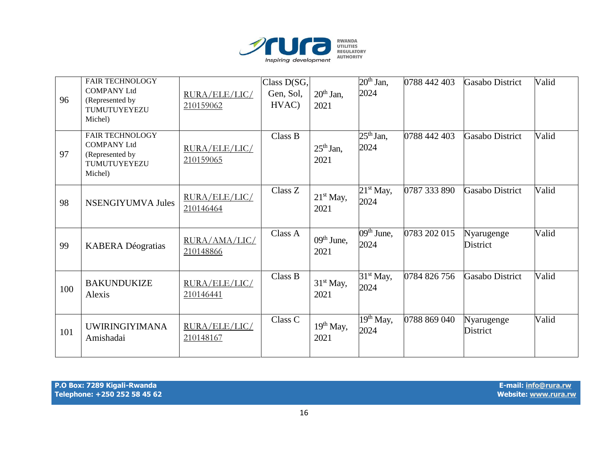

| 96  | <b>FAIR TECHNOLOGY</b><br><b>COMPANY Ltd</b><br>(Represented by<br>TUMUTUYEYEZU<br>Michel) | RURA/ELE/LIC/<br>210159062 | Class D(SG,<br>Gen, Sol,<br>HVAC) | $20th$ Jan,<br>2021           | $20th$ Jan,<br>2024                | 0788 442 403 | <b>Gasabo District</b> | Valid |
|-----|--------------------------------------------------------------------------------------------|----------------------------|-----------------------------------|-------------------------------|------------------------------------|--------------|------------------------|-------|
| 97  | <b>FAIR TECHNOLOGY</b><br><b>COMPANY Ltd</b><br>(Represented by<br>TUMUTUYEYEZU<br>Michel) | RURA/ELE/LIC/<br>210159065 | Class B                           | $25th$ Jan,<br>2021           | $25th$ Jan,<br>2024                | 0788 442 403 | <b>Gasabo District</b> | Valid |
| 98  | <b>NSENGIYUMVA Jules</b>                                                                   | RURA/ELE/LIC/<br>210146464 | Class Z                           | $21st$ May,<br>2021           | $21st$ May,<br>2024                | 0787 333 890 | <b>Gasabo District</b> | Valid |
| 99  | <b>KABERA</b> Déogratias                                                                   | RURA/AMA/LIC/<br>210148866 | Class A                           | $09th$ June,<br>2021          | $\overline{09^{th}}$ June,<br>2024 | 0783 202 015 | Nyarugenge<br>District | Valid |
| 100 | <b>BAKUNDUKIZE</b><br>Alexis                                                               | RURA/ELE/LIC/<br>210146441 | Class B                           | 31 <sup>st</sup> May,<br>2021 | $31st$ May,<br>2024                | 0784 826 756 | <b>Gasabo District</b> | Valid |
| 101 | <b>UWIRINGIYIMANA</b><br>Amishadai                                                         | RURA/ELE/LIC/<br>210148167 | Class C                           | 19 <sup>th</sup> May,<br>2021 | $19th$ May,<br>2024                | 0788 869 040 | Nyarugenge<br>District | Valid |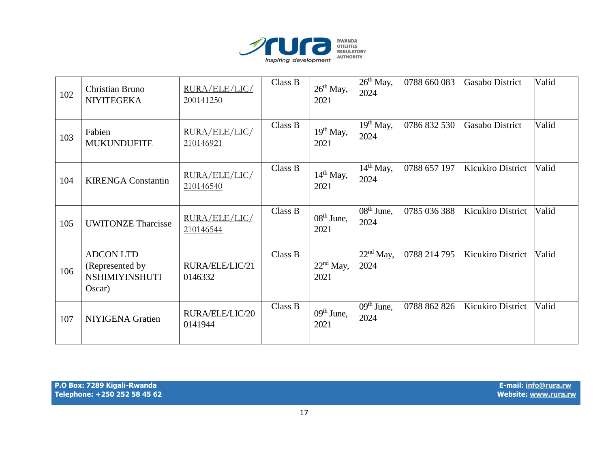

| 102 | Christian Bruno<br><b>NIYITEGEKA</b>                                   | RURA/ELE/LIC/<br>200141250 | Class B | $26th$ May,<br>2021           | $26th$ May,<br>2024                        | 0788 660 083 | <b>Gasabo District</b>   | Valid |
|-----|------------------------------------------------------------------------|----------------------------|---------|-------------------------------|--------------------------------------------|--------------|--------------------------|-------|
| 103 | Fabien<br><b>MUKUNDUFITE</b>                                           | RURA/ELE/LIC/<br>210146921 | Class B | 19 <sup>th</sup> May,<br>2021 | $\overline{19}$ <sup>th</sup> May,<br>2024 | 0786 832 530 | <b>Gasabo District</b>   | Valid |
| 104 | <b>KIRENGA Constantin</b>                                              | RURA/ELE/LIC/<br>210146540 | Class B | $14th$ May,<br>2021           | $14th$ May,<br>2024                        | 0788 657 197 | Kicukiro District        | Valid |
| 105 | <b>UWITONZE Tharcisse</b>                                              | RURA/ELE/LIC/<br>210146544 | Class B | $08th$ June,<br>2021          | $08th$ June,<br>2024                       | 0785 036 388 | Kicukiro District        | Valid |
| 106 | <b>ADCON LTD</b><br>(Represented by<br><b>NSHIMIYINSHUTI</b><br>Oscar) | RURA/ELE/LIC/21<br>0146332 | Class B | $22nd$ May,<br>2021           | $22nd$ May,<br>2024                        | 0788 214 795 | Kicukiro District        | Valid |
| 107 | NIYIGENA Gratien                                                       | RURA/ELE/LIC/20<br>0141944 | Class B | $09th$ June,<br>2021          | $09th$ June,<br>2024                       | 0788 862 826 | <b>Kicukiro District</b> | Valid |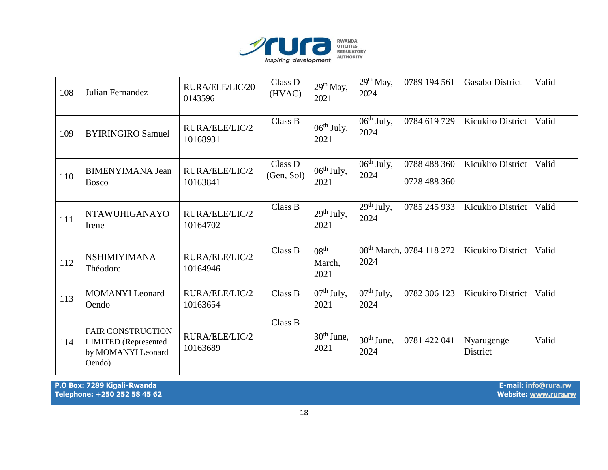

| 108 | Julian Fernandez                                                                        | RURA/ELE/LIC/20<br>0143596 | Class D<br>(HVAC)     | $29th$ May,<br>2021                | $29th$ May,<br>2024                         | 0789 194 561                         | Gasabo District          | Valid |
|-----|-----------------------------------------------------------------------------------------|----------------------------|-----------------------|------------------------------------|---------------------------------------------|--------------------------------------|--------------------------|-------|
| 109 | <b>BYIRINGIRO Samuel</b>                                                                | RURA/ELE/LIC/2<br>10168931 | Class B               | 06 <sup>th</sup> July,<br>2021     | $06th$ July,<br>2024                        | 0784 619 729                         | Kicukiro District        | Valid |
| 110 | <b>BIMENYIMANA Jean</b><br><b>Bosco</b>                                                 | RURA/ELE/LIC/2<br>10163841 | Class D<br>(Gen, Sol) | $06th$ July,<br>2021               | $06th$ July,<br>2024                        | 0788 488 360<br>0728 488 360         | Kicukiro District        | Valid |
| 111 | <b>NTAWUHIGANAYO</b><br>Irene                                                           | RURA/ELE/LIC/2<br>10164702 | Class B               | $29th$ July,<br>2021               | $\overline{29}$ <sup>th</sup> July,<br>2024 | 0785 245 933                         | <b>Kicukiro District</b> | Valid |
| 112 | <b>NSHIMIYIMANA</b><br>Théodore                                                         | RURA/ELE/LIC/2<br>10164946 | Class B               | 08 <sup>th</sup><br>March,<br>2021 | 2024                                        | 08 <sup>th</sup> March, 0784 118 272 | Kicukiro District        | Valid |
| 113 | <b>MOMANYI</b> Leonard<br>Oendo                                                         | RURA/ELE/LIC/2<br>10163654 | Class B               | $07th$ July,<br>2021               | $07th$ July,<br>2024                        | 0782 306 123                         | <b>Kicukiro District</b> | Valid |
| 114 | <b>FAIR CONSTRUCTION</b><br><b>LIMITED</b> (Represented<br>by MOMANYI Leonard<br>Oendo) | RURA/ELE/LIC/2<br>10163689 | Class B               | $30th$ June,<br>2021               | $30th$ June,<br>2024                        | 0781 422 041                         | Nyarugenge<br>District   | Valid |

**P.O Box: 7289 Kigali-Rwanda E-mail[: info@rura.rw](mailto:info@rura.rw)** Telephone: +250 252 58 45 62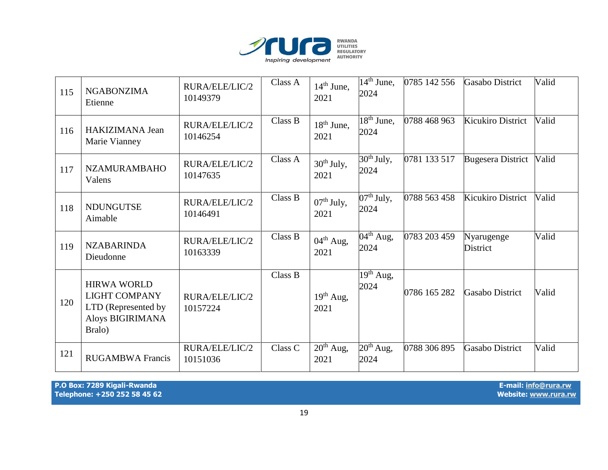

| 115 | <b>NGABONZIMA</b><br>Etienne                                                                    | RURA/ELE/LIC/2<br>10149379 | Class A | $14th$ June,<br>2021          | $\overline{1}4^{\text{th}}$ June,<br>2024 | 0785 142 556 | <b>Gasabo District</b>        | Valid |
|-----|-------------------------------------------------------------------------------------------------|----------------------------|---------|-------------------------------|-------------------------------------------|--------------|-------------------------------|-------|
| 116 | <b>HAKIZIMANA Jean</b><br>Marie Vianney                                                         | RURA/ELE/LIC/2<br>10146254 | Class B | $18th$ June,<br>2021          | $\overline{18^{th}}$ June,<br>2024        | 0788 468 963 | <b>Kicukiro District</b>      | Valid |
| 117 | <b>NZAMURAMBAHO</b><br>Valens                                                                   | RURA/ELE/LIC/2<br>10147635 | Class A | $30th$ July,<br>2021          | $30th$ July,<br>2024                      | 0781 133 517 | <b>Bugesera District</b>      | Valid |
| 118 | <b>NDUNGUTSE</b><br>Aimable                                                                     | RURA/ELE/LIC/2<br>10146491 | Class B | $07th$ July,<br>2021          | $07th$ July,<br>2024                      | 0788 563 458 | <b>Kicukiro District</b>      | Valid |
| 119 | <b>NZABARINDA</b><br>Dieudonne                                                                  | RURA/ELE/LIC/2<br>10163339 | Class B | $04^{\text{th}}$ Aug,<br>2021 | $\overline{04}^{\text{th}}$ Aug,<br>2024  | 0783 203 459 | Nyarugenge<br><b>District</b> | Valid |
| 120 | <b>HIRWA WORLD</b><br><b>LIGHT COMPANY</b><br>LTD (Represented by<br>Aloys BIGIRIMANA<br>Bralo) | RURA/ELE/LIC/2<br>10157224 | Class B | $19th$ Aug,<br>2021           | $19th$ Aug,<br>2024                       | 0786 165 282 | <b>Gasabo District</b>        | Valid |
| 121 | <b>RUGAMBWA Francis</b>                                                                         | RURA/ELE/LIC/2<br>10151036 | Class C | $20th$ Aug,<br>2021           | $20th$ Aug,<br>2024                       | 0788 306 895 | <b>Gasabo District</b>        | Valid |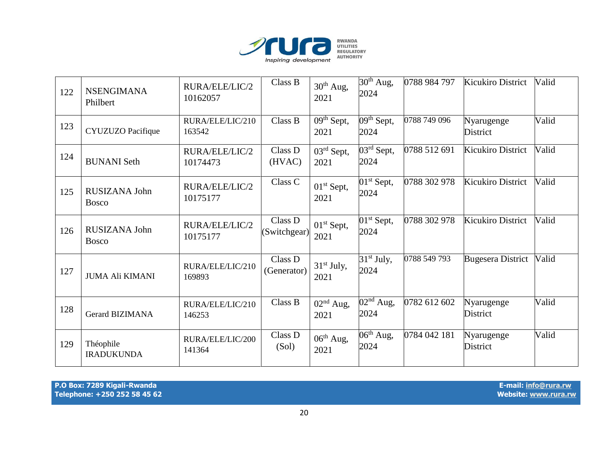

| 122 | <b>NSENGIMANA</b><br>Philbert  | RURA/ELE/LIC/2<br>10162057 | Class B                 | $30th$ Aug,<br>2021            | $\overline{3}0^{th}$ Aug,<br>2024           | 0788 984 797 | <b>Kicukiro District</b>      | Valid |
|-----|--------------------------------|----------------------------|-------------------------|--------------------------------|---------------------------------------------|--------------|-------------------------------|-------|
| 123 | <b>CYUZUZO</b> Pacifique       | RURA/ELE/LIC/210<br>163542 | Class B                 | $09th$ Sept,<br>2021           | $09th$ Sept,<br>2024                        | 0788 749 096 | Nyarugenge<br><b>District</b> | Valid |
| 124 | <b>BUNANI</b> Seth             | RURA/ELE/LIC/2<br>10174473 | Class D<br>(HVAC)       | $03^{\text{rd}}$ Sept,<br>2021 | $\overline{03}$ <sup>rd</sup> Sept,<br>2024 | 0788 512 691 | Kicukiro District             | Valid |
| 125 | RUSIZANA John<br><b>Bosco</b>  | RURA/ELE/LIC/2<br>10175177 | Class C                 | $01st$ Sept,<br>2021           | $01st$ Sept,<br>2024                        | 0788 302 978 | Kicukiro District             | Valid |
| 126 | RUSIZANA John<br><b>Bosco</b>  | RURA/ELE/LIC/2<br>10175177 | Class D<br>(Switchgear) | $01st$ Sept,<br>2021           | $01st$ Sept,<br>2024                        | 0788 302 978 | Kicukiro District             | Valid |
| 127 | <b>JUMA Ali KIMANI</b>         | RURA/ELE/LIC/210<br>169893 | Class D<br>(Generator)  | $31st$ July,<br>2021           | $31st$ July,<br>2024                        | 0788 549 793 | <b>Bugesera District</b>      | Valid |
| 128 | <b>Gerard BIZIMANA</b>         | RURA/ELE/LIC/210<br>146253 | Class B                 | $02nd$ Aug,<br>2021            | $\overline{02}$ <sup>nd</sup> Aug,<br>2024  | 0782 612 602 | Nyarugenge<br><b>District</b> | Valid |
| 129 | Théophile<br><b>IRADUKUNDA</b> | RURA/ELE/LIC/200<br>141364 | Class D<br>(Sol)        | $06th$ Aug,<br>2021            | $\overline{06}$ <sup>th</sup> Aug,<br>2024  | 0784 042 181 | Nyarugenge<br><b>District</b> | Valid |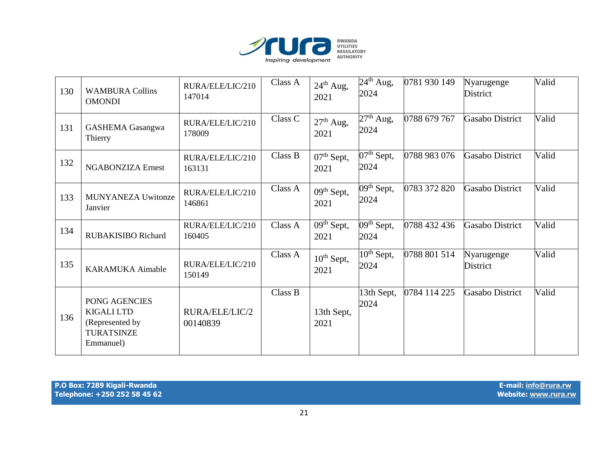

| 130 | <b>WAMBURA Collins</b><br><b>OMONDI</b>                                                 | RURA/ELE/LIC/210<br>147014 | Class A | $24th$ Aug,<br>2021            | $24th$ Aug,<br>2024                          | 0781 930 149 | Nyarugenge<br><b>District</b> | Valid |
|-----|-----------------------------------------------------------------------------------------|----------------------------|---------|--------------------------------|----------------------------------------------|--------------|-------------------------------|-------|
| 131 | <b>GASHEMA</b> Gasangwa<br>Thierry                                                      | RURA/ELE/LIC/210<br>178009 | Class C | $27th$ Aug,<br>2021            | $27th$ Aug,<br>2024                          | 0788 679 767 | Gasabo District               | Valid |
| 132 | <b>NGABONZIZA Ernest</b>                                                                | RURA/ELE/LIC/210<br>163131 | Class B | $07th$ Sept,<br>2021           | $07th$ Sept,<br>2024                         | 0788 983 076 | Gasabo District               | Valid |
| 133 | <b>MUNYANEZA Uwitonze</b><br>Janvier                                                    | RURA/ELE/LIC/210<br>146861 | Class A | 09 <sup>th</sup> Sept,<br>2021 | $\overline{0}$ 9 <sup>th</sup> Sept,<br>2024 | 0783 372 820 | Gasabo District               | Valid |
| 134 | <b>RUBAKISIBO Richard</b>                                                               | RURA/ELE/LIC/210<br>160405 | Class A | $09th$ Sept,<br>2021           | $09th$ Sept,<br>2024                         | 0788 432 436 | Gasabo District               | Valid |
| 135 | <b>KARAMUKA</b> Aimable                                                                 | RURA/ELE/LIC/210<br>150149 | Class A | $10th$ Sept,<br>2021           | $10^{th}$ Sept,<br>2024                      | 0788 801 514 | Nyarugenge<br>District        | Valid |
| 136 | PONG AGENCIES<br><b>KIGALI LTD</b><br>(Represented by<br><b>TURATSINZE</b><br>Emmanuel) | RURA/ELE/LIC/2<br>00140839 | Class B | 13th Sept,<br>2021             | 13th Sept,<br>2024                           | 0784 114 225 | Gasabo District               | Valid |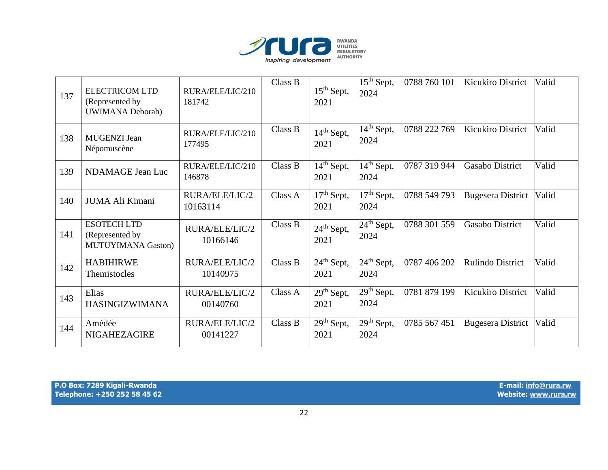

| 137 | <b>ELECTRICOM LTD</b><br>(Represented by)<br><b>UWIMANA Deborah)</b> | RURA/ELE/LIC/210<br>181742 | Class B | $15th$ Sept,<br>2021                      | $15th$ Sept,<br>2024                      | 0788 760 101 | Kicukiro District        | Valid |
|-----|----------------------------------------------------------------------|----------------------------|---------|-------------------------------------------|-------------------------------------------|--------------|--------------------------|-------|
| 138 | <b>MUGENZI</b> Jean<br>Népomuscène                                   | RURA/ELE/LIC/210<br>177495 | Class B | $14th$ Sept,<br>2021                      | $\overline{14}^{\text{th}}$ Sept,<br>2024 | 0788 222 769 | Kicukiro District        | Valid |
| 139 | NDAMAGE Jean Luc                                                     | RURA/ELE/LIC/210<br>146878 | Class B | $\overline{14}^{\text{th}}$ Sept,<br>2021 | $\overline{14^{th}}$ Sept,<br>2024        | 0787 319 944 | <b>Gasabo District</b>   | Valid |
| 140 | JUMA Ali Kimani                                                      | RURA/ELE/LIC/2<br>10163114 | Class A | $\overline{1}7^{\text{th}}$ Sept,<br>2021 | $17th$ Sept,<br>2024                      | 0788 549 793 | <b>Bugesera District</b> | Valid |
| 141 | <b>ESOTECH LTD</b><br>(Represented by<br><b>MUTUYIMANA Gaston)</b>   | RURA/ELE/LIC/2<br>10166146 | Class B | $24th$ Sept,<br>2021                      | $24th$ Sept,<br>2024                      | 0788 301 559 | <b>Gasabo District</b>   | Valid |
| 142 | <b>HABIHIRWE</b><br>Themistocles                                     | RURA/ELE/LIC/2<br>10140975 | Class B | $24th$ Sept,<br>2021                      | $\overline{2}4^{\text{th}}$ Sept,<br>2024 | 0787 406 202 | Rulindo District         | Valid |
| 143 | Elias<br><b>HASINGIZWIMANA</b>                                       | RURA/ELE/LIC/2<br>00140760 | Class A | $29th$ Sept,<br>2021                      | $29th$ Sept,<br>2024                      | 0781 879 199 | Kicukiro District        | Valid |
| 144 | Amédée<br><b>NIGAHEZAGIRE</b>                                        | RURA/ELE/LIC/2<br>00141227 | Class B | $29th$ Sept,<br>2021                      | $29th$ Sept,<br>2024                      | 0785 567 451 | <b>Bugesera District</b> | Valid |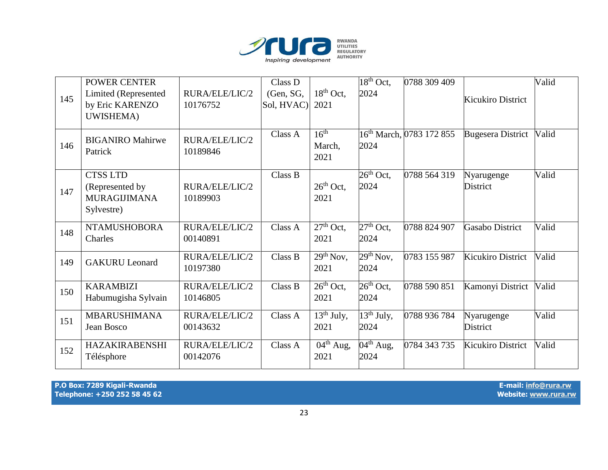

|     | <b>POWER CENTER</b>                                                     |                            | Class D                 |                                            | $18th$ Oct,                                | 0788 309 409                         |                               | Valid |
|-----|-------------------------------------------------------------------------|----------------------------|-------------------------|--------------------------------------------|--------------------------------------------|--------------------------------------|-------------------------------|-------|
| 145 | <b>Limited (Represented</b><br>by Eric KARENZO                          | RURA/ELE/LIC/2<br>10176752 | (Gen, SG,<br>Sol, HVAC) | $18th$ Oct,<br>2021                        | 2024                                       |                                      | Kicukiro District             |       |
|     | UWISHEMA)                                                               |                            |                         |                                            |                                            |                                      |                               |       |
| 146 | <b>BIGANIRO Mahirwe</b><br>Patrick                                      | RURA/ELE/LIC/2<br>10189846 | Class A                 | 16 <sup>th</sup><br>March,<br>2021         | 2024                                       | 16 <sup>th</sup> March, 0783 172 855 | <b>Bugesera District</b>      | Valid |
| 147 | <b>CTSS LTD</b><br>(Represented by<br><b>MURAGIJIMANA</b><br>Sylvestre) | RURA/ELE/LIC/2<br>10189903 | Class B                 | $26th$ Oct,<br>2021                        | $26th$ Oct,<br>2024                        | 0788 564 319                         | Nyarugenge<br><b>District</b> | Valid |
| 148 | <b>NTAMUSHOBORA</b><br>Charles                                          | RURA/ELE/LIC/2<br>00140891 | Class A                 | $\overline{27}$ <sup>th</sup> Oct,<br>2021 | $27th$ Oct,<br>2024                        | 0788 824 907                         | <b>Gasabo District</b>        | Valid |
| 149 | <b>GAKURU</b> Leonard                                                   | RURA/ELE/LIC/2<br>10197380 | Class B                 | $\overline{2}9^{th}$ Nov,<br>2021          | $29th$ Nov,<br>2024                        | 0783 155 987                         | <b>Kicukiro District</b>      | Valid |
| 150 | <b>KARAMBIZI</b><br>Habumugisha Sylvain                                 | RURA/ELE/LIC/2<br>10146805 | Class B                 | $\overline{26}$ <sup>th</sup> Oct,<br>2021 | $\overline{26}$ <sup>th</sup> Oct,<br>2024 | 0788 590 851                         | Kamonyi District              | Valid |
| 151 | <b>MBARUSHIMANA</b><br>Jean Bosco                                       | RURA/ELE/LIC/2<br>00143632 | Class A                 | $13th$ July,<br>2021                       | $\overline{13^{th}}$ July,<br>2024         | 0788 936 784                         | Nyarugenge<br><b>District</b> | Valid |
| 152 | <b>HAZAKIRABENSHI</b><br>Télésphore                                     | RURA/ELE/LIC/2<br>00142076 | Class A                 | $04^{th}$ Aug,<br>2021                     | $\overline{0}4^{\text{th}}$ Aug,<br>2024   | 0784 343 735                         | <b>Kicukiro District</b>      | Valid |